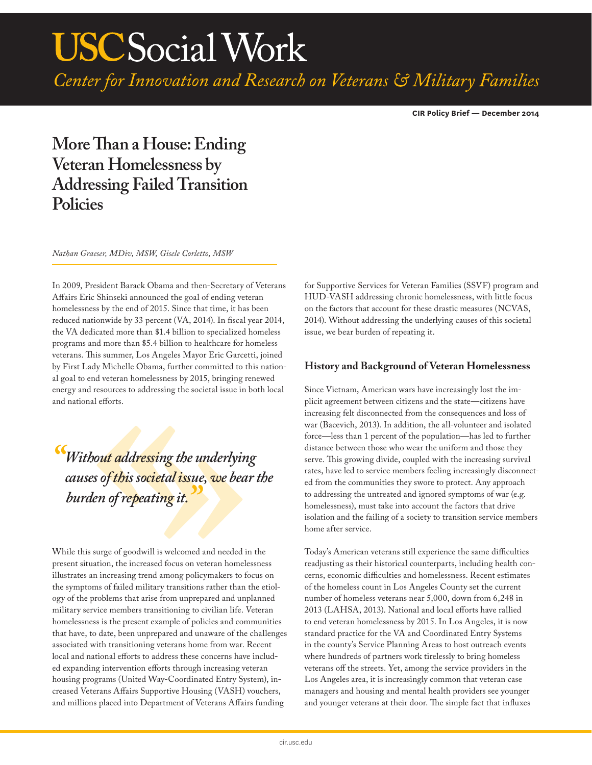# **USCSocial Work**

Center for Innovation and Research on Veterans & Military Families

**CIR Policy Brief — December 2014**

### **More Than a House: Ending Veteran Homelessness by Addressing Failed Transition Policies**

*Nathan Graeser, MDiv, MSW, Gisele Corletto, MSW*

In 2009, President Barack Obama and then-Secretary of Veterans Affairs Eric Shinseki announced the goal of ending veteran homelessness by the end of 2015. Since that time, it has been reduced nationwide by 33 percent (VA, 2014). In fiscal year 2014, the VA dedicated more than \$1.4 billion to specialized homeless programs and more than \$5.4 billion to healthcare for homeless veterans. This summer, Los Angeles Mayor Eric Garcetti, joined by First Lady Michelle Obama, further committed to this national goal to end veteran homelessness by 2015, bringing renewed energy and resources to addressing the societal issue in both local and national efforts.

*"Without addressing the underlying causes of this societal issue, we bear the burden of repeating it.* 

While this surge of goodwill is welcomed and needed in the present situation, the increased focus on veteran homelessness illustrates an increasing trend among policymakers to focus on the symptoms of failed military transitions rather than the etiology of the problems that arise from unprepared and unplanned military service members transitioning to civilian life. Veteran homelessness is the present example of policies and communities that have, to date, been unprepared and unaware of the challenges associated with transitioning veterans home from war. Recent local and national efforts to address these concerns have included expanding intervention efforts through increasing veteran housing programs (United Way-Coordinated Entry System), increased Veterans Affairs Supportive Housing (VASH) vouchers, and millions placed into Department of Veterans Affairs funding

for Supportive Services for Veteran Families (SSVF) program and HUD-VASH addressing chronic homelessness, with little focus on the factors that account for these drastic measures (NCVAS, 2014). Without addressing the underlying causes of this societal issue, we bear burden of repeating it.

#### **History and Background of Veteran Homelessness**

Since Vietnam, American wars have increasingly lost the implicit agreement between citizens and the state—citizens have increasing felt disconnected from the consequences and loss of war (Bacevich, 2013). In addition, the all-volunteer and isolated force—less than 1 percent of the population—has led to further distance between those who wear the uniform and those they serve. This growing divide, coupled with the increasing survival rates, have led to service members feeling increasingly disconnected from the communities they swore to protect. Any approach to addressing the untreated and ignored symptoms of war (e.g. homelessness), must take into account the factors that drive isolation and the failing of a society to transition service members home after service.

Today's American veterans still experience the same difficulties readjusting as their historical counterparts, including health concerns, economic difficulties and homelessness. Recent estimates of the homeless count in Los Angeles County set the current number of homeless veterans near 5,000, down from 6,248 in 2013 (LAHSA, 2013). National and local efforts have rallied to end veteran homelessness by 2015. In Los Angeles, it is now standard practice for the VA and Coordinated Entry Systems in the county's Service Planning Areas to host outreach events where hundreds of partners work tirelessly to bring homeless veterans off the streets. Yet, among the service providers in the Los Angeles area, it is increasingly common that veteran case managers and housing and mental health providers see younger and younger veterans at their door. The simple fact that influxes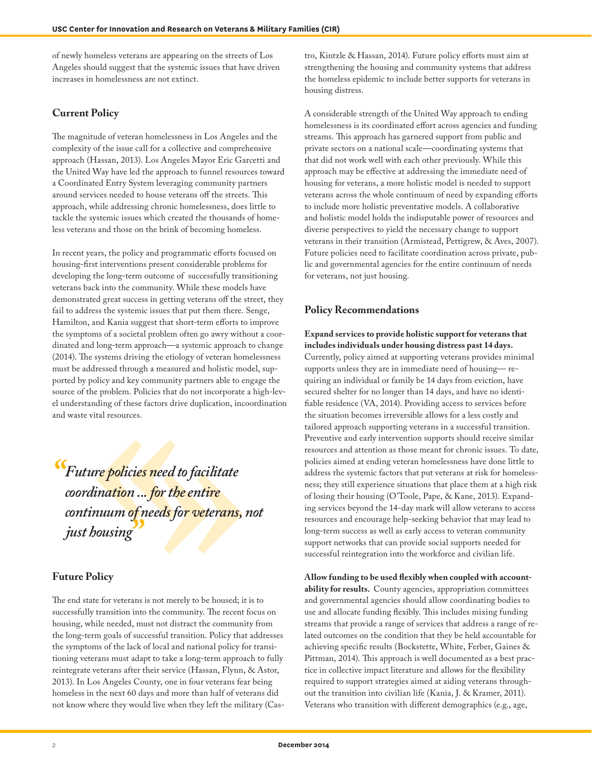of newly homeless veterans are appearing on the streets of Los Angeles should suggest that the systemic issues that have driven increases in homelessness are not extinct.

#### **Current Policy**

The magnitude of veteran homelessness in Los Angeles and the complexity of the issue call for a collective and comprehensive approach (Hassan, 2013). Los Angeles Mayor Eric Garcetti and the United Way have led the approach to funnel resources toward a Coordinated Entry System leveraging community partners around services needed to house veterans off the streets. This approach, while addressing chronic homelessness, does little to tackle the systemic issues which created the thousands of homeless veterans and those on the brink of becoming homeless.

In recent years, the policy and programmatic efforts focused on housing-first interventions present considerable problems for developing the long-term outcome of successfully transitioning veterans back into the community. While these models have demonstrated great success in getting veterans off the street, they fail to address the systemic issues that put them there. Senge, Hamilton, and Kania suggest that short-term efforts to improve the symptoms of a societal problem often go awry without a coordinated and long-term approach—a systemic approach to change (2014). The systems driving the etiology of veteran homelessness must be addressed through a measured and holistic model, supported by policy and key community partners able to engage the source of the problem. Policies that do not incorporate a high-level understanding of these factors drive duplication, incoordination and waste vital resources.

*"Future policies need to facilitate coordination ... for the entire continuum of needs for veterans, not just housing"*

#### **Future Policy**

The end state for veterans is not merely to be housed; it is to successfully transition into the community. The recent focus on housing, while needed, must not distract the community from the long-term goals of successful transition. Policy that addresses the symptoms of the lack of local and national policy for transitioning veterans must adapt to take a long-term approach to fully reintegrate veterans after their service (Hassan, Flynn, & Astor, 2013). In Los Angeles County, one in four veterans fear being homeless in the next 60 days and more than half of veterans did not know where they would live when they left the military (Castro, Kintzle & Hassan, 2014). Future policy efforts must aim at strengthening the housing and community systems that address the homeless epidemic to include better supports for veterans in housing distress.

A considerable strength of the United Way approach to ending homelessness is its coordinated effort across agencies and funding streams. This approach has garnered support from public and private sectors on a national scale—coordinating systems that that did not work well with each other previously. While this approach may be effective at addressing the immediate need of housing for veterans, a more holistic model is needed to support veterans across the whole continuum of need by expanding efforts to include more holistic preventative models. A collaborative and holistic model holds the indisputable power of resources and diverse perspectives to yield the necessary change to support veterans in their transition (Armistead, Pettigrew, & Aves, 2007). Future policies need to facilitate coordination across private, public and governmental agencies for the entire continuum of needs for veterans, not just housing.

#### **Policy Recommendations**

**Expand services to provide holistic support for veterans that includes individuals under housing distress past 14 days.**  Currently, policy aimed at supporting veterans provides minimal supports unless they are in immediate need of housing— requiring an individual or family be 14 days from eviction, have secured shelter for no longer than 14 days, and have no identifiable residence (VA, 2014). Providing access to services before the situation becomes irreversible allows for a less costly and tailored approach supporting veterans in a successful transition. Preventive and early intervention supports should receive similar resources and attention as those meant for chronic issues. To date, policies aimed at ending veteran homelessness have done little to address the systemic factors that put veterans at risk for homelessness; they still experience situations that place them at a high risk of losing their housing (O'Toole, Pape, & Kane, 2013). Expanding services beyond the 14-day mark will allow veterans to access resources and encourage help-seeking behavior that may lead to long-term success as well as early access to veteran community support networks that can provide social supports needed for successful reintegration into the workforce and civilian life.

**Allow funding to be used flexibly when coupled with accountability for results.** County agencies, appropriation committees and governmental agencies should allow coordinating bodies to use and allocate funding flexibly. This includes mixing funding streams that provide a range of services that address a range of related outcomes on the condition that they be held accountable for achieving specific results (Bockstette, White, Ferber, Gaines & Pittman, 2014). This approach is well documented as a best practice in collective impact literature and allows for the flexibility required to support strategies aimed at aiding veterans throughout the transition into civilian life (Kania, J. & Kramer, 2011). Veterans who transition with different demographics (e.g., age,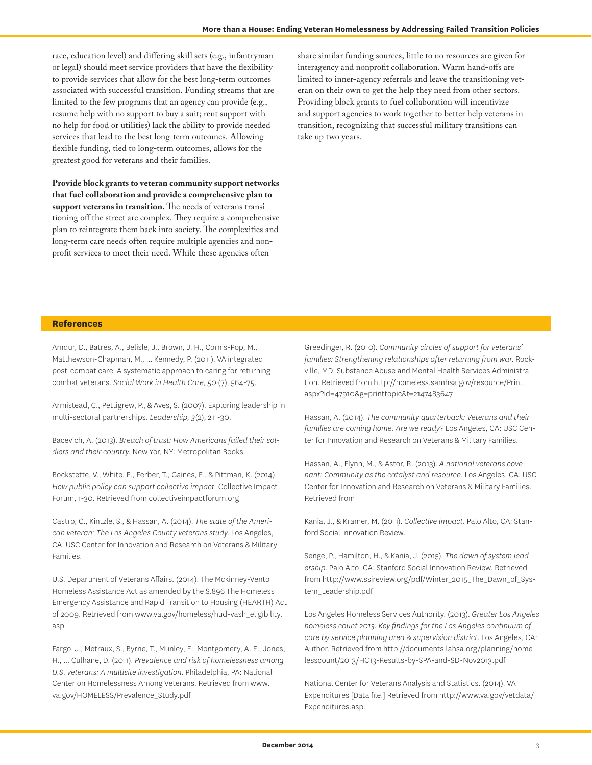race, education level) and differing skill sets (e.g., infantryman or legal) should meet service providers that have the flexibility to provide services that allow for the best long-term outcomes associated with successful transition. Funding streams that are limited to the few programs that an agency can provide (e.g., resume help with no support to buy a suit; rent support with no help for food or utilities) lack the ability to provide needed services that lead to the best long-term outcomes. Allowing flexible funding, tied to long-term outcomes, allows for the greatest good for veterans and their families.

**Provide block grants to veteran community support networks that fuel collaboration and provide a comprehensive plan to support veterans in transition.** The needs of veterans transitioning off the street are complex. They require a comprehensive plan to reintegrate them back into society. The complexities and long-term care needs often require multiple agencies and nonprofit services to meet their need. While these agencies often

share similar funding sources, little to no resources are given for interagency and nonprofit collaboration. Warm hand-offs are limited to inner-agency referrals and leave the transitioning veteran on their own to get the help they need from other sectors. Providing block grants to fuel collaboration will incentivize and support agencies to work together to better help veterans in transition, recognizing that successful military transitions can take up two years.

#### **References**

Amdur, D., Batres, A., Belisle, J., Brown, J. H., Cornis-Pop, M., Matthewson-Chapman, M., ... Kennedy, P. (2011). VA integrated post-combat care: A systematic approach to caring for returning combat veterans. *Social Work in Health Care, 50* (7), 564-75.

Armistead, C., Pettigrew, P., & Aves, S. (2007). Exploring leadership in multi-sectoral partnerships. *Leadership, 3*(2), 211-30.

Bacevich, A. (2013). *Breach of trust: How Americans failed their soldiers and their country*. New Yor, NY: Metropolitan Books.

Bockstette, V., White, E., Ferber, T., Gaines, E., & Pittman, K. (2014). *How public policy can support collective impact.* Collective Impact Forum, 1-30. Retrieved from collectiveimpactforum.org

Castro, C., Kintzle, S., & Hassan, A. (2014). *The state of the American veteran: The Los Angeles County veterans study*. Los Angeles, CA: USC Center for Innovation and Research on Veterans & Military Families.

U.S. Department of Veterans Affairs. (2014). The Mckinney-Vento Homeless Assistance Act as amended by the S.896 The Homeless Emergency Assistance and Rapid Transition to Housing (HEARTH) Act of 2009. Retrieved from www.va.gov/homeless/hud-vash\_eligibility. asp

Fargo, J., Metraux, S., Byrne, T., Munley, E., Montgomery, A. E., Jones, H., ... Culhane, D. (2011). *Prevalence and risk of homelessness among U.S. veterans: A multisite investigation*. Philadelphia, PA: National Center on Homelessness Among Veterans. Retrieved from www. va.gov/HOMELESS/Prevalence\_Study.pdf

Greedinger, R. (2010). *Community circles of support for veterans' families: Strengthening relationships after returning from war*. Rockville, MD: Substance Abuse and Mental Health Services Administration. Retrieved from http://homeless.samhsa.gov/resource/Print. aspx?id=47910&g=printtopic&t=2147483647

Hassan, A. (2014). *The community quarterback: Veterans and their families are coming home. Are we ready?* Los Angeles, CA: USC Center for Innovation and Research on Veterans & Military Families.

Hassan, A., Flynn, M., & Astor, R. (2013). *A national veterans covenant: Community as the catalyst and resource*. Los Angeles, CA: USC Center for Innovation and Research on Veterans & Military Families. Retrieved from

Kania, J., & Kramer, M. (2011). *Collective impact*. Palo Alto, CA: Stanford Social Innovation Review.

Senge, P., Hamilton, H., & Kania, J. (2015). *The dawn of system leadership*. Palo Alto, CA: Stanford Social Innovation Review. Retrieved from http://www.ssireview.org/pdf/Winter\_2015\_The\_Dawn\_of\_System\_Leadership.pdf

Los Angeles Homeless Services Authority. (2013). *Greater Los Angeles homeless count 2013: Key findings for the Los Angeles continuum of care by service planning area & supervision district*. Los Angeles, CA: Author. Retrieved from http://documents.lahsa.org/planning/homelesscount/2013/HC13-Results-by-SPA-and-SD-Nov2013.pdf

National Center for Veterans Analysis and Statistics. (2014). VA Expenditures [Data file.] Retrieved from http://www.va.gov/vetdata/ Expenditures.asp.